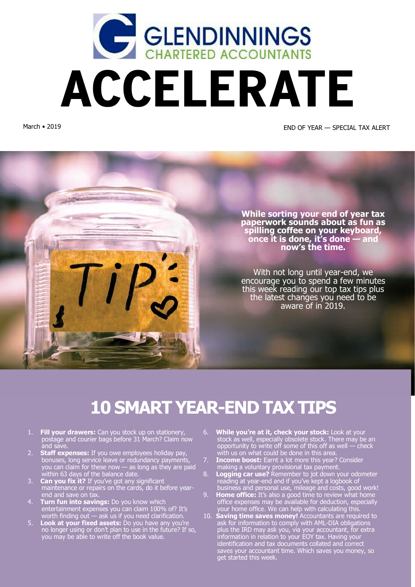

March • 2019 END OF YEAR — SPECIAL TAX ALERT



# **10 SMART YEAR-END TAX TIPS**

- 1. **Fill your drawers:** Can you stock up on stationery, postage and courier bags before 31 March? Claim now and save.
- 2. **Staff expenses:** If you owe employees holiday pay, bonuses, long service leave or redundancy payments, you can claim for these now — as long as they are paid within 63 days of the balance date.
- 3. **Can you fix it?** If you've got any significant maintenance or repairs on the cards, do it before yearend and save on tax.
- 4. **Turn fun into savings:** Do you know which entertainment expenses you can claim 100% of? It's worth finding out — ask us if you need clarification.
- 5. **Look at your fixed assets:** Do you have any you're no longer using or don't plan to use in the future? If so, you may be able to write off the book value.
- 6. **While you're at it, check your stock:** Look at your stock as well, especially obsolete stock. There may be an opportunity to write off some of this off as well — check with us on what could be done in this area.
- 7. **Income boost:** Earnt a lot more this year? Consider making a voluntary provisional tax payment.
- 8. **Logging car use?** Remember to jot down your odometer reading at year-end and if you've kept a logbook of business and personal use, mileage and costs, good work!
- 9. **Home office:** It's also a good time to review what home office expenses may be available for deduction, especially your home office. We can help with calculating this.
- 10. **Saving time saves money!** Accountants are required to ask for information to comply with AML-DIA obligations plus the IRD may ask you, via your accountant, for extra information in relation to your EOY tax. Having your identification and tax documents collated and correct saves your accountant time. Which saves you money, so get started this week.